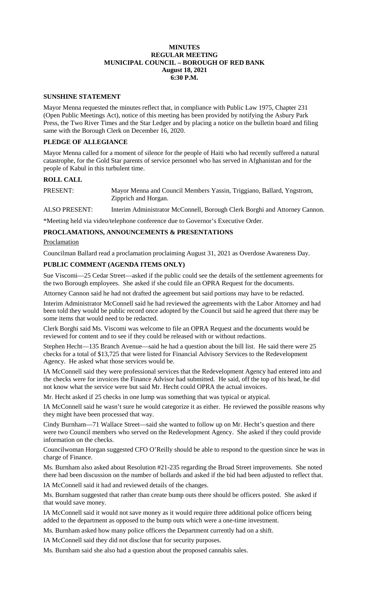## **MINUTES REGULAR MEETING MUNICIPAL COUNCIL – BOROUGH OF RED BANK August 18, 2021 6:30 P.M.**

#### **SUNSHINE STATEMENT**

Mayor Menna requested the minutes reflect that, in compliance with Public Law 1975, Chapter 231 (Open Public Meetings Act), notice of this meeting has been provided by notifying the Asbury Park Press, the Two River Times and the Star Ledger and by placing a notice on the bulletin board and filing same with the Borough Clerk on December 16, 2020.

# **PLEDGE OF ALLEGIANCE**

Mayor Menna called for a moment of silence for the people of Haiti who had recently suffered a natural catastrophe, for the Gold Star parents of service personnel who has served in Afghanistan and for the people of Kabul in this turbulent time.

#### **ROLL CALL**

PRESENT: Mayor Menna and Council Members Yassin, Triggiano, Ballard, Yngstrom, Zipprich and Horgan.

ALSO PRESENT: Interim Administrator McConnell, Borough Clerk Borghi and Attorney Cannon.

\*Meeting held via video/telephone conference due to Governor's Executive Order.

# **PROCLAMATIONS, ANNOUNCEMENTS & PRESENTATIONS**

**Proclamation** 

Councilman Ballard read a proclamation proclaiming August 31, 2021 as Overdose Awareness Day.

# **PUBLIC COMMENT (AGENDA ITEMS ONLY)**

Sue Viscomi—25 Cedar Street—asked if the public could see the details of the settlement agreements for the two Borough employees. She asked if she could file an OPRA Request for the documents.

Attorney Cannon said he had not drafted the agreement but said portions may have to be redacted.

Interim Administrator McConnell said he had reviewed the agreements with the Labor Attorney and had been told they would be public record once adopted by the Council but said he agreed that there may be some items that would need to be redacted.

Clerk Borghi said Ms. Viscomi was welcome to file an OPRA Request and the documents would be reviewed for content and to see if they could be released with or without redactions.

Stephen Hecht—135 Branch Avenue—said he had a question about the bill list. He said there were 25 checks for a total of \$13,725 that were listed for Financial Advisory Services to the Redevelopment Agency. He asked what those services would be.

IA McConnell said they were professional services that the Redevelopment Agency had entered into and the checks were for invoices the Finance Advisor had submitted. He said, off the top of his head, he did not know what the service were but said Mr. Hecht could OPRA the actual invoices.

Mr. Hecht asked if 25 checks in one lump was something that was typical or atypical.

IA McConnell said he wasn't sure he would categorize it as either. He reviewed the possible reasons why they might have been processed that way.

Cindy Burnham—71 Wallace Street—said she wanted to follow up on Mr. Hecht's question and there were two Council members who served on the Redevelopment Agency. She asked if they could provide information on the checks.

Councilwoman Horgan suggested CFO O'Reilly should be able to respond to the question since he was in charge of Finance.

Ms. Burnham also asked about Resolution #21-235 regarding the Broad Street improvements. She noted there had been discussion on the number of bollards and asked if the bid had been adjusted to reflect that.

IA McConnell said it had and reviewed details of the changes.

Ms. Burnham suggested that rather than create bump outs there should be officers posted. She asked if that would save money.

IA McConnell said it would not save money as it would require three additional police officers being added to the department as opposed to the bump outs which were a one-time investment.

Ms. Burnham asked how many police officers the Department currently had on a shift.

IA McConnell said they did not disclose that for security purposes.

Ms. Burnham said she also had a question about the proposed cannabis sales.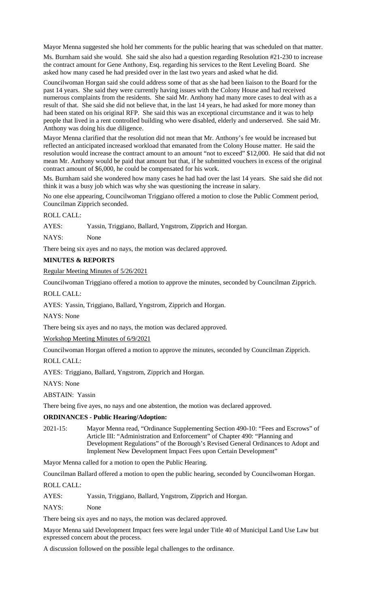Mayor Menna suggested she hold her comments for the public hearing that was scheduled on that matter.

Ms. Burnham said she would. She said she also had a question regarding Resolution #21-230 to increase the contract amount for Gene Anthony, Esq. regarding his services to the Rent Leveling Board. She asked how many cased he had presided over in the last two years and asked what he did.

Councilwoman Horgan said she could address some of that as she had been liaison to the Board for the past 14 years. She said they were currently having issues with the Colony House and had received numerous complaints from the residents. She said Mr. Anthony had many more cases to deal with as a result of that. She said she did not believe that, in the last 14 years, he had asked for more money than had been stated on his original RFP. She said this was an exceptional circumstance and it was to help people that lived in a rent controlled building who were disabled, elderly and underserved. She said Mr. Anthony was doing his due diligence.

Mayor Menna clarified that the resolution did not mean that Mr. Anthony's fee would be increased but reflected an anticipated increased workload that emanated from the Colony House matter. He said the resolution would increase the contract amount to an amount "not to exceed" \$12,000. He said that did not mean Mr. Anthony would be paid that amount but that, if he submitted vouchers in excess of the original contract amount of \$6,000, he could be compensated for his work.

Ms. Burnham said she wondered how many cases he had had over the last 14 years. She said she did not think it was a busy job which was why she was questioning the increase in salary.

No one else appearing, Councilwoman Triggiano offered a motion to close the Public Comment period, Councilman Zipprich seconded.

# ROLL CALL:

AYES: Yassin, Triggiano, Ballard, Yngstrom, Zipprich and Horgan.

NAYS: None

There being six ayes and no nays, the motion was declared approved.

# **MINUTES & REPORTS**

Regular Meeting Minutes of 5/26/2021

Councilwoman Triggiano offered a motion to approve the minutes, seconded by Councilman Zipprich.

ROLL CALL:

AYES: Yassin, Triggiano, Ballard, Yngstrom, Zipprich and Horgan.

NAYS: None

There being six ayes and no nays, the motion was declared approved.

Workshop Meeting Minutes of 6/9/2021

Councilwoman Horgan offered a motion to approve the minutes, seconded by Councilman Zipprich.

ROLL CALL:

AYES: Triggiano, Ballard, Yngstrom, Zipprich and Horgan.

NAYS: None

ABSTAIN: Yassin

There being five ayes, no nays and one abstention, the motion was declared approved.

# **ORDINANCES - Public Hearing/Adoption:**

2021-15: Mayor Menna read, "Ordinance Supplementing Section 490-10: "Fees and Escrows" of Article III: "Administration and Enforcement" of Chapter 490: "Planning and Development Regulations" of the Borough's Revised General Ordinances to Adopt and Implement New Development Impact Fees upon Certain Development"

Mayor Menna called for a motion to open the Public Hearing.

Councilman Ballard offered a motion to open the public hearing, seconded by Councilwoman Horgan.

ROLL CALL:

AYES: Yassin, Triggiano, Ballard, Yngstrom, Zipprich and Horgan.

NAYS: None

There being six ayes and no nays, the motion was declared approved.

Mayor Menna said Development Impact fees were legal under Title 40 of Municipal Land Use Law but expressed concern about the process.

A discussion followed on the possible legal challenges to the ordinance.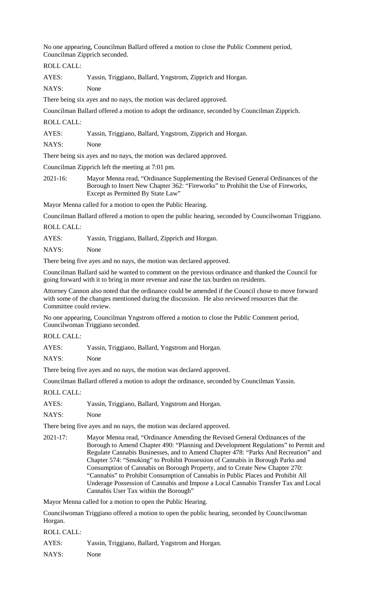No one appearing, Councilman Ballard offered a motion to close the Public Comment period, Councilman Zipprich seconded.

ROLL CALL:

AYES: Yassin, Triggiano, Ballard, Yngstrom, Zipprich and Horgan.

NAYS: None

There being six ayes and no nays, the motion was declared approved.

Councilman Ballard offered a motion to adopt the ordinance, seconded by Councilman Zipprich.

ROLL CALL:

AYES: Yassin, Triggiano, Ballard, Yngstrom, Zipprich and Horgan.

NAYS: None

There being six ayes and no nays, the motion was declared approved.

Councilman Zipprich left the meeting at 7:01 pm.

2021-16: Mayor Menna read, "Ordinance Supplementing the Revised General Ordinances of the Borough to Insert New Chapter 362: "Fireworks" to Prohibit the Use of Fireworks, Except as Permitted By State Law"

Mayor Menna called for a motion to open the Public Hearing.

Councilman Ballard offered a motion to open the public hearing, seconded by Councilwoman Triggiano. ROLL CALL:

AYES: Yassin, Triggiano, Ballard, Zipprich and Horgan.

NAYS: None

There being five ayes and no nays, the motion was declared approved.

Councilman Ballard said he wanted to comment on the previous ordinance and thanked the Council for going forward with it to bring in more revenue and ease the tax burden on residents.

Attorney Cannon also noted that the ordinance could be amended if the Council chose to move forward with some of the changes mentioned during the discussion. He also reviewed resources that the Committee could review.

No one appearing, Councilman Yngstrom offered a motion to close the Public Comment period, Councilwoman Triggiano seconded.

ROLL CALL:

AYES: Yassin, Triggiano, Ballard, Yngstrom and Horgan.

NAYS: None

There being five ayes and no nays, the motion was declared approved.

Councilman Ballard offered a motion to adopt the ordinance, seconded by Councilman Yassin.

ROLL CALL:

AYES: Yassin, Triggiano, Ballard, Yngstrom and Horgan.

NAYS: None

There being five ayes and no nays, the motion was declared approved.

2021-17: Mayor Menna read, "Ordinance Amending the Revised General Ordinances of the Borough to Amend Chapter 490: "Planning and Development Regulations" to Permit and Regulate Cannabis Businesses, and to Amend Chapter 478: "Parks And Recreation" and Chapter 574: "Smoking" to Prohibit Possession of Cannabis in Borough Parks and Consumption of Cannabis on Borough Property, and to Create New Chapter 270: "Cannabis" to Prohibit Consumption of Cannabis in Public Places and Prohibit All Underage Possession of Cannabis and Impose a Local Cannabis Transfer Tax and Local Cannabis User Tax within the Borough"

Mayor Menna called for a motion to open the Public Hearing.

Councilwoman Triggiano offered a motion to open the public hearing, seconded by Councilwoman Horgan.

ROLL CALL:

AYES: Yassin, Triggiano, Ballard, Yngstrom and Horgan.

NAYS: None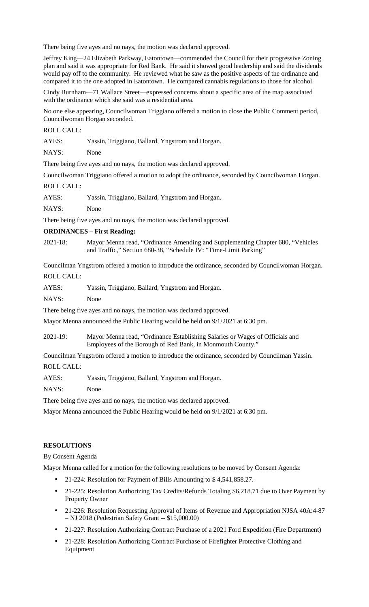There being five ayes and no nays, the motion was declared approved.

Jeffrey King—24 Elizabeth Parkway, Eatontown—commended the Council for their progressive Zoning plan and said it was appropriate for Red Bank. He said it showed good leadership and said the dividends would pay off to the community. He reviewed what he saw as the positive aspects of the ordinance and compared it to the one adopted in Eatontown. He compared cannabis regulations to those for alcohol.

Cindy Burnham—71 Wallace Street—expressed concerns about a specific area of the map associated with the ordinance which she said was a residential area.

No one else appearing, Councilwoman Triggiano offered a motion to close the Public Comment period, Councilwoman Horgan seconded.

ROLL CALL:

AYES: Yassin, Triggiano, Ballard, Yngstrom and Horgan.

NAYS: None

There being five ayes and no nays, the motion was declared approved.

Councilwoman Triggiano offered a motion to adopt the ordinance, seconded by Councilwoman Horgan.

ROLL CALL:

AYES: Yassin, Triggiano, Ballard, Yngstrom and Horgan.

NAYS: None

There being five ayes and no nays, the motion was declared approved.

# **ORDINANCES – First Reading:**

2021-18: Mayor Menna read, "Ordinance Amending and Supplementing Chapter 680, "Vehicles and Traffic," Section 680-38, "Schedule IV: "Time-Limit Parking"

Councilman Yngstrom offered a motion to introduce the ordinance, seconded by Councilwoman Horgan.

ROLL CALL:

AYES: Yassin, Triggiano, Ballard, Yngstrom and Horgan.

NAYS: None

There being five ayes and no nays, the motion was declared approved.

Mayor Menna announced the Public Hearing would be held on 9/1/2021 at 6:30 pm.

2021-19: Mayor Menna read, "Ordinance Establishing Salaries or Wages of Officials and Employees of the Borough of Red Bank, in Monmouth County."

Councilman Yngstrom offered a motion to introduce the ordinance, seconded by Councilman Yassin. ROLL CALL:

AYES: Yassin, Triggiano, Ballard, Yngstrom and Horgan.

NAYS: None

There being five ayes and no nays, the motion was declared approved.

Mayor Menna announced the Public Hearing would be held on 9/1/2021 at 6:30 pm.

# **RESOLUTIONS**

#### By Consent Agenda

Mayor Menna called for a motion for the following resolutions to be moved by Consent Agenda:

- 21-224: Resolution for Payment of Bills Amounting to \$4,541,858.27.
- 21-225: Resolution Authorizing Tax Credits/Refunds Totaling \$6,218.71 due to Over Payment by Property Owner
- 21-226: Resolution Requesting Approval of Items of Revenue and Appropriation NJSA 40A:4-87 – NJ 2018 (Pedestrian Safety Grant -- \$15,000.00)
- 21-227: Resolution Authorizing Contract Purchase of a 2021 Ford Expedition (Fire Department)
- 21-228: Resolution Authorizing Contract Purchase of Firefighter Protective Clothing and Equipment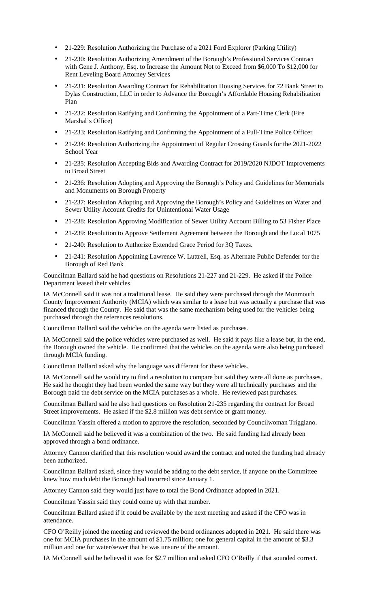- 21-229: Resolution Authorizing the Purchase of a 2021 Ford Explorer (Parking Utility)
- 21-230: Resolution Authorizing Amendment of the Borough's Professional Services Contract with Gene J. Anthony, Esq. to Increase the Amount Not to Exceed from \$6,000 To \$12,000 for Rent Leveling Board Attorney Services
- 21-231: Resolution Awarding Contract for Rehabilitation Housing Services for 72 Bank Street to Dylas Construction, LLC in order to Advance the Borough's Affordable Housing Rehabilitation Plan
- 21-232: Resolution Ratifying and Confirming the Appointment of a Part-Time Clerk (Fire Marshal's Office)
- 21-233: Resolution Ratifying and Confirming the Appointment of a Full-Time Police Officer
- 21-234: Resolution Authorizing the Appointment of Regular Crossing Guards for the 2021-2022 School Year
- 21-235: Resolution Accepting Bids and Awarding Contract for 2019/2020 NJDOT Improvements to Broad Street
- 21-236: Resolution Adopting and Approving the Borough's Policy and Guidelines for Memorials and Monuments on Borough Property
- 21-237: Resolution Adopting and Approving the Borough's Policy and Guidelines on Water and Sewer Utility Account Credits for Unintentional Water Usage
- 21-238: Resolution Approving Modification of Sewer Utility Account Billing to 53 Fisher Place
- 21-239: Resolution to Approve Settlement Agreement between the Borough and the Local 1075
- 21-240: Resolution to Authorize Extended Grace Period for 3Q Taxes.
- 21-241: Resolution Appointing Lawrence W. Luttrell, Esq. as Alternate Public Defender for the Borough of Red Bank

Councilman Ballard said he had questions on Resolutions 21-227 and 21-229. He asked if the Police Department leased their vehicles.

IA McConnell said it was not a traditional lease. He said they were purchased through the Monmouth County Improvement Authority (MCIA) which was similar to a lease but was actually a purchase that was financed through the County. He said that was the same mechanism being used for the vehicles being purchased through the references resolutions.

Councilman Ballard said the vehicles on the agenda were listed as purchases.

IA McConnell said the police vehicles were purchased as well. He said it pays like a lease but, in the end, the Borough owned the vehicle. He confirmed that the vehicles on the agenda were also being purchased through MCIA funding.

Councilman Ballard asked why the language was different for these vehicles.

IA McConnell said he would try to find a resolution to compare but said they were all done as purchases. He said he thought they had been worded the same way but they were all technically purchases and the Borough paid the debt service on the MCIA purchases as a whole. He reviewed past purchases.

Councilman Ballard said he also had questions on Resolution 21-235 regarding the contract for Broad Street improvements. He asked if the \$2.8 million was debt service or grant money.

Councilman Yassin offered a motion to approve the resolution, seconded by Councilwoman Triggiano.

IA McConnell said he believed it was a combination of the two. He said funding had already been approved through a bond ordinance.

Attorney Cannon clarified that this resolution would award the contract and noted the funding had already been authorized.

Councilman Ballard asked, since they would be adding to the debt service, if anyone on the Committee knew how much debt the Borough had incurred since January 1.

Attorney Cannon said they would just have to total the Bond Ordinance adopted in 2021.

Councilman Yassin said they could come up with that number.

Councilman Ballard asked if it could be available by the next meeting and asked if the CFO was in attendance.

CFO O'Reilly joined the meeting and reviewed the bond ordinances adopted in 2021. He said there was one for MCIA purchases in the amount of \$1.75 million; one for general capital in the amount of \$3.3 million and one for water/sewer that he was unsure of the amount.

IA McConnell said he believed it was for \$2.7 million and asked CFO O'Reilly if that sounded correct.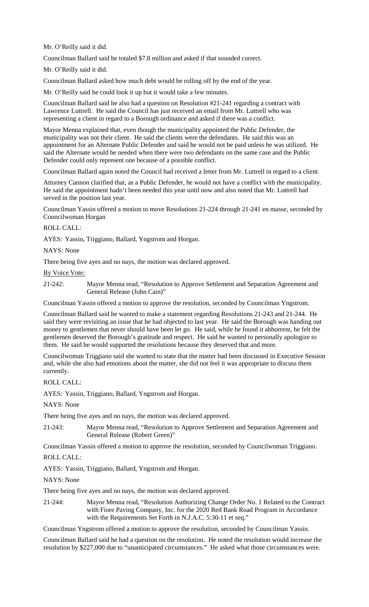Mr. O'Reilly said it did.

Councilman Ballard said he totaled \$7.8 million and asked if that sounded correct.

Mr. O'Reilly said it did.

Councilman Ballard asked how much debt would be rolling off by the end of the year.

Mr. O'Reilly said he could look it up but it would take a few minutes.

Councilman Ballard said he also had a question on Resolution #21-241 regarding a contract with Lawrence Luttrell. He said the Council has just received an email from Mr. Luttrell who was representing a client in regard to a Borough ordinance and asked if there was a conflict.

Mayor Menna explained that, even though the municipality appointed the Public Defender, the municipality was not their client. He said the clients were the defendants. He said this was an appointment for an Alternate Public Defender and said he would not be paid unless he was utilized. He said the Alternate would be needed when there were two defendants on the same case and the Public Defender could only represent one because of a possible conflict.

Councilman Ballard again noted the Council had received a letter from Mr. Luttrell in regard to a client.

Attorney Cannon clarified that, as a Public Defender, he would not have a conflict with the municipality. He said the appointment hadn't been needed this year until now and also noted that Mr. Luttrell had served in the position last year.

Councilman Yassin offered a motion to move Resolutions 21-224 through 21-241 en masse, seconded by Councilwoman Horgan

## ROLL CALL:

AYES: Yassin, Triggiano, Ballard, Yngstrom and Horgan.

NAYS: None

There being five ayes and no nays, the motion was declared approved.

By Voice Vote:

21-242: Mayor Menna read, "Resolution to Approve Settlement and Separation Agreement and General Release (John Cain)"

Councilman Yassin offered a motion to approve the resolution, seconded by Councilman Yngstrom.

Councilman Ballard said he wanted to make a statement regarding Resolutions 21-243 and 21-244. He said they were revisiting an issue that he had objected to last year. He said the Borough was handing out money to gentlemen that never should have been let go. He said, while he found it abhorrent, he felt the gentlemen deserved the Borough's gratitude and respect. He said he wanted to personally apologize to them. He said he would supported the resolutions because they deserved that and more.

Councilwoman Triggiano said she wanted to state that the matter had been discussed in Executive Session and, while she also had emotions about the matter, she did not feel it was appropriate to discuss them currently.

#### ROLL CALL:

AYES: Yassin, Triggiano, Ballard, Yngstrom and Horgan.

NAYS: None

There being five ayes and no nays, the motion was declared approved.

21-243: Mayor Menna read, "Resolution to Approve Settlement and Separation Agreement and General Release (Robert Green)"

Councilman Yassin offered a motion to approve the resolution, seconded by Councilwoman Triggiano.

## ROLL CALL:

AYES: Yassin, Triggiano, Ballard, Yngstrom and Horgan.

NAYS: None

There being five ayes and no nays, the motion was declared approved.

21-244: Mayor Menna read, "Resolution Authorizing Change Order No. 1 Related to the Contract with Fiore Paving Company, Inc. for the 2020 Red Bank Road Program in Accordance with the Requirements Set Forth in N.J.A.C. 5:30-11 et seq."

Councilman Yngstrom offered a motion to approve the resolution, seconded by Councilman Yassin.

Councilman Ballard said he had a question on the resolution. He noted the resolution would increase the resolution by \$227,000 due to "unanticipated circumstances." He asked what those circumstances were.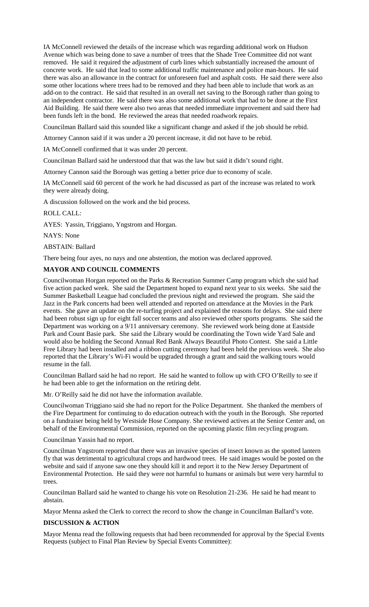IA McConnell reviewed the details of the increase which was regarding additional work on Hudson Avenue which was being done to save a number of trees that the Shade Tree Committee did not want removed. He said it required the adjustment of curb lines which substantially increased the amount of concrete work. He said that lead to some additional traffic maintenance and police man-hours. He said there was also an allowance in the contract for unforeseen fuel and asphalt costs. He said there were also some other locations where trees had to be removed and they had been able to include that work as an add-on to the contract. He said that resulted in an overall net saving to the Borough rather than going to an independent contractor. He said there was also some additional work that had to be done at the First Aid Building. He said there were also two areas that needed immediate improvement and said there had been funds left in the bond. He reviewed the areas that needed roadwork repairs.

Councilman Ballard said this sounded like a significant change and asked if the job should be rebid.

Attorney Cannon said if it was under a 20 percent increase, it did not have to be rebid.

IA McConnell confirmed that it was under 20 percent.

Councilman Ballard said he understood that that was the law but said it didn't sound right.

Attorney Cannon said the Borough was getting a better price due to economy of scale.

IA McConnell said 60 percent of the work he had discussed as part of the increase was related to work they were already doing.

A discussion followed on the work and the bid process.

ROLL CALL:

AYES: Yassin, Triggiano, Yngstrom and Horgan.

NAYS: None

ABSTAIN: Ballard

There being four ayes, no nays and one abstention, the motion was declared approved.

## **MAYOR AND COUNCIL COMMENTS**

Councilwoman Horgan reported on the Parks & Recreation Summer Camp program which she said had five action packed week. She said the Department hoped to expand next year to six weeks. She said the Summer Basketball League had concluded the previous night and reviewed the program. She said the Jazz in the Park concerts had been well attended and reported on attendance at the Movies in the Park events. She gave an update on the re-turfing project and explained the reasons for delays. She said there had been robust sign up for eight fall soccer teams and also reviewed other sports programs. She said the Department was working on a 9/11 anniversary ceremony. She reviewed work being done at Eastside Park and Count Basie park. She said the Library would be coordinating the Town wide Yard Sale and would also be holding the Second Annual Red Bank Always Beautiful Photo Contest. She said a Little Free Library had been installed and a ribbon cutting ceremony had been held the previous week. She also reported that the Library's Wi-Fi would be upgraded through a grant and said the walking tours would resume in the fall.

Councilman Ballard said he had no report. He said he wanted to follow up with CFO O'Reilly to see if he had been able to get the information on the retiring debt.

Mr. O'Reilly said he did not have the information available.

Councilwoman Triggiano said she had no report for the Police Department. She thanked the members of the Fire Department for continuing to do education outreach with the youth in the Borough. She reported on a fundraiser being held by Westside Hose Company. She reviewed actives at the Senior Center and, on behalf of the Environmental Commission, reported on the upcoming plastic film recycling program.

Councilman Yassin had no report.

Councilman Yngstrom reported that there was an invasive species of insect known as the spotted lantern fly that was detrimental to agricultural crops and hardwood trees. He said images would be posted on the website and said if anyone saw one they should kill it and report it to the New Jersey Department of Environmental Protection. He said they were not harmful to humans or animals but were very harmful to trees.

Councilman Ballard said he wanted to change his vote on Resolution 21-236. He said he had meant to abstain.

Mayor Menna asked the Clerk to correct the record to show the change in Councilman Ballard's vote.

#### **DISCUSSION & ACTION**

Mayor Menna read the following requests that had been recommended for approval by the Special Events Requests (subject to Final Plan Review by Special Events Committee):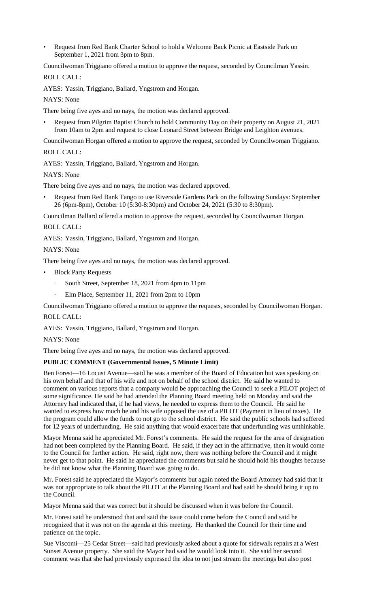• Request from Red Bank Charter School to hold a Welcome Back Picnic at Eastside Park on September 1, 2021 from 3pm to 8pm.

Councilwoman Triggiano offered a motion to approve the request, seconded by Councilman Yassin.

ROLL CALL:

AYES: Yassin, Triggiano, Ballard, Yngstrom and Horgan.

NAYS: None

There being five ayes and no nays, the motion was declared approved.

• Request from Pilgrim Baptist Church to hold Community Day on their property on August 21, 2021 from 10am to 2pm and request to close Leonard Street between Bridge and Leighton avenues.

Councilwoman Horgan offered a motion to approve the request, seconded by Councilwoman Triggiano.

ROLL CALL:

AYES: Yassin, Triggiano, Ballard, Yngstrom and Horgan.

NAYS: None

There being five ayes and no nays, the motion was declared approved.

• Request from Red Bank Tango to use Riverside Gardens Park on the following Sundays: September 26 (6pm-8pm), October 10 (5:30-8:30pm) and October 24, 2021 (5:30 to 8:30pm).

Councilman Ballard offered a motion to approve the request, seconded by Councilwoman Horgan.

ROLL CALL:

AYES: Yassin, Triggiano, Ballard, Yngstrom and Horgan.

NAYS: None

There being five ayes and no nays, the motion was declared approved.

- **Block Party Requests** 
	- South Street, September 18, 2021 from 4pm to 11pm
	- Elm Place, September 11, 2021 from 2pm to 10pm

Councilwoman Triggiano offered a motion to approve the requests, seconded by Councilwoman Horgan.

# ROLL CALL:

AYES: Yassin, Triggiano, Ballard, Yngstrom and Horgan.

NAYS: None

There being five ayes and no nays, the motion was declared approved.

# **PUBLIC COMMENT (Governmental Issues, 5 Minute Limit)**

Ben Forest—16 Locust Avenue—said he was a member of the Board of Education but was speaking on his own behalf and that of his wife and not on behalf of the school district. He said he wanted to comment on various reports that a company would be approaching the Council to seek a PILOT project of some significance. He said he had attended the Planning Board meeting held on Monday and said the Attorney had indicated that, if he had views, he needed to express them to the Council. He said he wanted to express how much he and his wife opposed the use of a PILOT (Payment in lieu of taxes). He the program could allow the funds to not go to the school district. He said the public schools had suffered for 12 years of underfunding. He said anything that would exacerbate that underfunding was unthinkable.

Mayor Menna said he appreciated Mr. Forest's comments. He said the request for the area of designation had not been completed by the Planning Board. He said, if they act in the affirmative, then it would come to the Council for further action. He said, right now, there was nothing before the Council and it might never get to that point. He said he appreciated the comments but said he should hold his thoughts because he did not know what the Planning Board was going to do.

Mr. Forest said he appreciated the Mayor's comments but again noted the Board Attorney had said that it was not appropriate to talk about the PILOT at the Planning Board and had said he should bring it up to the Council.

Mayor Menna said that was correct but it should be discussed when it was before the Council.

Mr. Forest said he understood that and said the issue could come before the Council and said he recognized that it was not on the agenda at this meeting. He thanked the Council for their time and patience on the topic.

Sue Viscomi—25 Cedar Street—said had previously asked about a quote for sidewalk repairs at a West Sunset Avenue property. She said the Mayor had said he would look into it. She said her second comment was that she had previously expressed the idea to not just stream the meetings but also post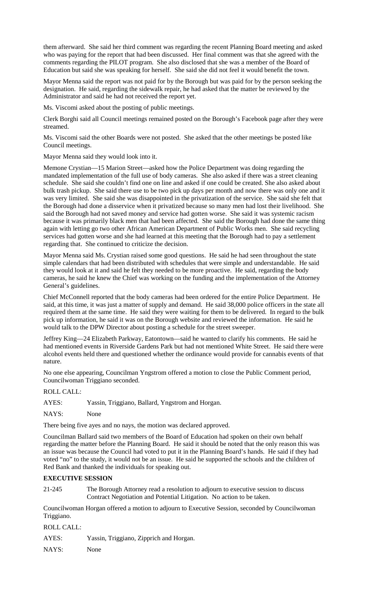them afterward. She said her third comment was regarding the recent Planning Board meeting and asked who was paying for the report that had been discussed. Her final comment was that she agreed with the comments regarding the PILOT program. She also disclosed that she was a member of the Board of Education but said she was speaking for herself. She said she did not feel it would benefit the town.

Mayor Menna said the report was not paid for by the Borough but was paid for by the person seeking the designation. He said, regarding the sidewalk repair, he had asked that the matter be reviewed by the Administrator and said he had not received the report yet.

Ms. Viscomi asked about the posting of public meetings.

Clerk Borghi said all Council meetings remained posted on the Borough's Facebook page after they were streamed.

Ms. Viscomi said the other Boards were not posted. She asked that the other meetings be posted like Council meetings.

Mayor Menna said they would look into it.

Memone Crystian—15 Marion Street—asked how the Police Department was doing regarding the mandated implementation of the full use of body cameras. She also asked if there was a street cleaning schedule. She said she couldn't find one on line and asked if one could be created. She also asked about bulk trash pickup. She said there use to be two pick up days per month and now there was only one and it was very limited. She said she was disappointed in the privatization of the service. She said she felt that the Borough had done a disservice when it privatized because so many men had lost their livelihood. She said the Borough had not saved money and service had gotten worse. She said it was systemic racism because it was primarily black men that had been affected. She said the Borough had done the same thing again with letting go two other African American Department of Public Works men. She said recycling services had gotten worse and she had learned at this meeting that the Borough had to pay a settlement regarding that. She continued to criticize the decision.

Mayor Menna said Ms. Crystian raised some good questions. He said he had seen throughout the state simple calendars that had been distributed with schedules that were simple and understandable. He said they would look at it and said he felt they needed to be more proactive. He said, regarding the body cameras, he said he knew the Chief was working on the funding and the implementation of the Attorney General's guidelines.

Chief McConnell reported that the body cameras had been ordered for the entire Police Department. He said, at this time, it was just a matter of supply and demand. He said 38,000 police officers in the state all required them at the same time. He said they were waiting for them to be delivered. In regard to the bulk pick up information, he said it was on the Borough website and reviewed the information. He said he would talk to the DPW Director about posting a schedule for the street sweeper.

Jeffrey King—24 Elizabeth Parkway, Eatontown—said he wanted to clarify his comments. He said he had mentioned events in Riverside Gardens Park but had not mentioned White Street. He said there were alcohol events held there and questioned whether the ordinance would provide for cannabis events of that nature.

No one else appearing, Councilman Yngstrom offered a motion to close the Public Comment period, Councilwoman Triggiano seconded.

ROLL CALL:

AYES: Yassin, Triggiano, Ballard, Yngstrom and Horgan.

NAYS: None

There being five ayes and no nays, the motion was declared approved.

Councilman Ballard said two members of the Board of Education had spoken on their own behalf regarding the matter before the Planning Board. He said it should be noted that the only reason this was an issue was because the Council had voted to put it in the Planning Board's hands. He said if they had voted "no" to the study, it would not be an issue. He said he supported the schools and the children of Red Bank and thanked the individuals for speaking out.

# **EXECUTIVE SESSION**

21-245 The Borough Attorney read a resolution to adjourn to executive session to discuss Contract Negotiation and Potential Litigation. No action to be taken.

Councilwoman Horgan offered a motion to adjourn to Executive Session, seconded by Councilwoman Triggiano.

# ROLL CALL:

AYES: Yassin, Triggiano, Zipprich and Horgan.

NAYS: None